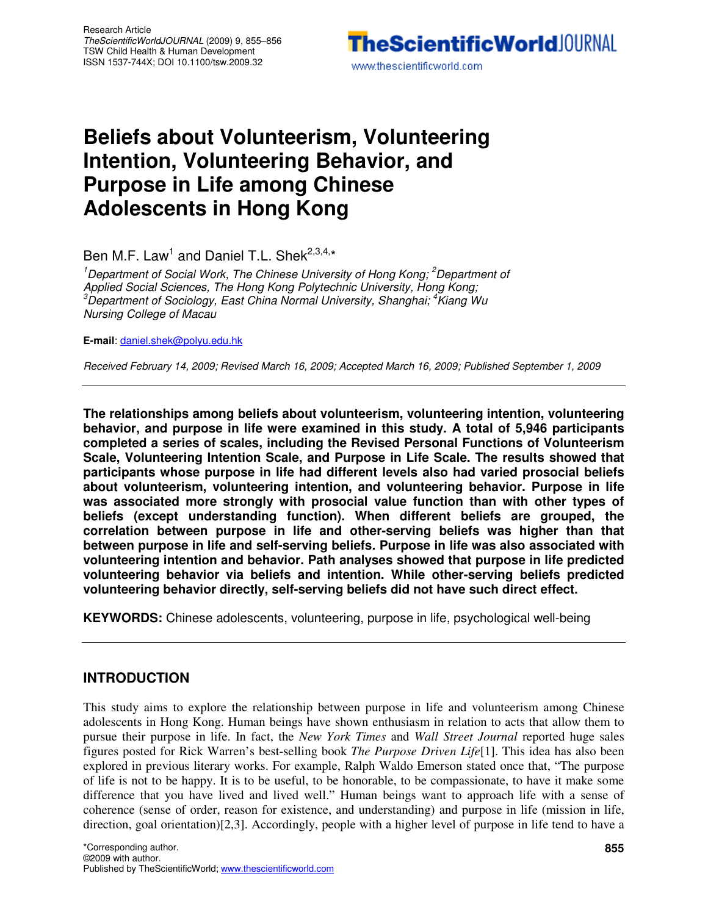

# **Beliefs about Volunteerism, Volunteering Intention, Volunteering Behavior, and Purpose in Life among Chinese Adolescents in Hong Kong**

Ben M.F. Law<sup>1</sup> and Daniel T.L. Shek<sup>2,3,4,\*</sup>

<sup>1</sup>Department of Social Work, The Chinese University of Hong Kong; <sup>2</sup>Department of Applied Social Sciences, The Hong Kong Polytechnic University, Hong Kong;  ${}^{3}$ Department of Sociology, East China Normal University, Shanghai;  ${}^{4}$ Kiang Wu Nursing College of Macau

**E-mail**: daniel.shek@polyu.edu.hk

Received February 14, 2009; Revised March 16, 2009; Accepted March 16, 2009; Published September 1, 2009

**The relationships among beliefs about volunteerism, volunteering intention, volunteering behavior, and purpose in life were examined in this study. A total of 5,946 participants completed a series of scales, including the Revised Personal Functions of Volunteerism Scale, Volunteering Intention Scale, and Purpose in Life Scale. The results showed that participants whose purpose in life had different levels also had varied prosocial beliefs about volunteerism, volunteering intention, and volunteering behavior. Purpose in life was associated more strongly with prosocial value function than with other types of beliefs (except understanding function). When different beliefs are grouped, the correlation between purpose in life and other-serving beliefs was higher than that between purpose in life and self-serving beliefs. Purpose in life was also associated with volunteering intention and behavior. Path analyses showed that purpose in life predicted volunteering behavior via beliefs and intention. While other-serving beliefs predicted volunteering behavior directly, self-serving beliefs did not have such direct effect.** 

**KEYWORDS:** Chinese adolescents, volunteering, purpose in life, psychological well-being

## **INTRODUCTION**

This study aims to explore the relationship between purpose in life and volunteerism among Chinese adolescents in Hong Kong. Human beings have shown enthusiasm in relation to acts that allow them to pursue their purpose in life. In fact, the *New York Times* and *Wall Street Journal* reported huge sales figures posted for Rick Warren's best-selling book *The Purpose Driven Life*[1]. This idea has also been explored in previous literary works. For example, Ralph Waldo Emerson stated once that, "The purpose of life is not to be happy. It is to be useful, to be honorable, to be compassionate, to have it make some difference that you have lived and lived well." Human beings want to approach life with a sense of coherence (sense of order, reason for existence, and understanding) and purpose in life (mission in life, direction, goal orientation)[2,3]. Accordingly, people with a higher level of purpose in life tend to have a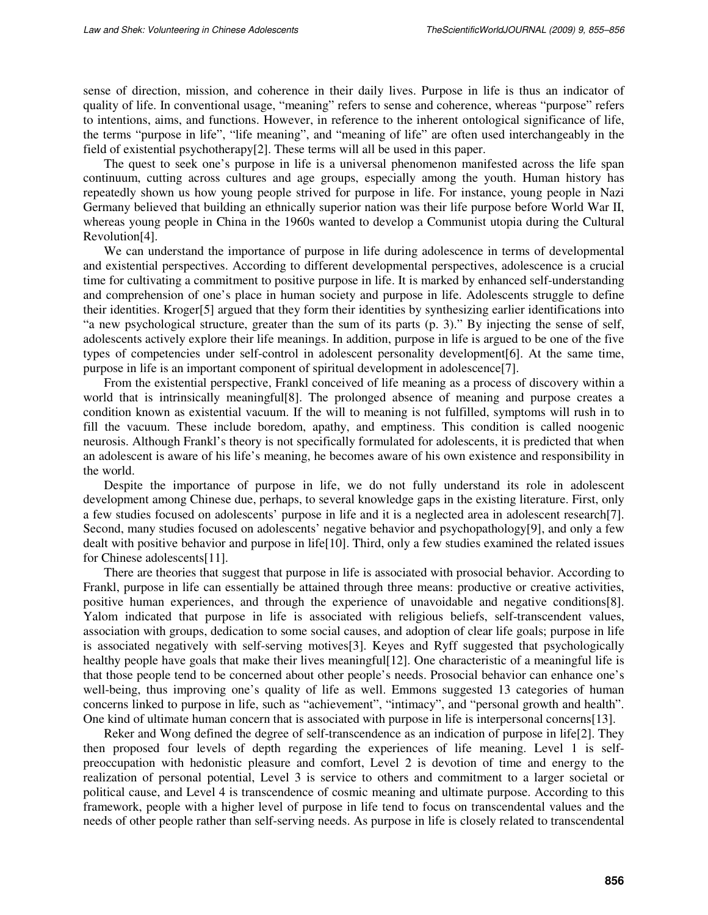sense of direction, mission, and coherence in their daily lives. Purpose in life is thus an indicator of quality of life. In conventional usage, "meaning" refers to sense and coherence, whereas "purpose" refers to intentions, aims, and functions. However, in reference to the inherent ontological significance of life, the terms "purpose in life", "life meaning", and "meaning of life" are often used interchangeably in the field of existential psychotherapy $[2]$ . These terms will all be used in this paper.

The quest to seek one's purpose in life is a universal phenomenon manifested across the life span continuum, cutting across cultures and age groups, especially among the youth. Human history has repeatedly shown us how young people strived for purpose in life. For instance, young people in Nazi Germany believed that building an ethnically superior nation was their life purpose before World War II, whereas young people in China in the 1960s wanted to develop a Communist utopia during the Cultural Revolution[4].

We can understand the importance of purpose in life during adolescence in terms of developmental and existential perspectives. According to different developmental perspectives, adolescence is a crucial time for cultivating a commitment to positive purpose in life. It is marked by enhanced self-understanding and comprehension of one's place in human society and purpose in life. Adolescents struggle to define their identities. Kroger[5] argued that they form their identities by synthesizing earlier identifications into "a new psychological structure, greater than the sum of its parts (p. 3)." By injecting the sense of self, adolescents actively explore their life meanings. In addition, purpose in life is argued to be one of the five types of competencies under self-control in adolescent personality development[6]. At the same time, purpose in life is an important component of spiritual development in adolescence[7].

From the existential perspective, Frankl conceived of life meaning as a process of discovery within a world that is intrinsically meaningful[8]. The prolonged absence of meaning and purpose creates a condition known as existential vacuum. If the will to meaning is not fulfilled, symptoms will rush in to fill the vacuum. These include boredom, apathy, and emptiness. This condition is called noogenic neurosis. Although Frankl's theory is not specifically formulated for adolescents, it is predicted that when an adolescent is aware of his life's meaning, he becomes aware of his own existence and responsibility in the world.

Despite the importance of purpose in life, we do not fully understand its role in adolescent development among Chinese due, perhaps, to several knowledge gaps in the existing literature. First, only a few studies focused on adolescents' purpose in life and it is a neglected area in adolescent research[7]. Second, many studies focused on adolescents' negative behavior and psychopathology[9], and only a few dealt with positive behavior and purpose in life[10]. Third, only a few studies examined the related issues for Chinese adolescents[11].

There are theories that suggest that purpose in life is associated with prosocial behavior. According to Frankl, purpose in life can essentially be attained through three means: productive or creative activities, positive human experiences, and through the experience of unavoidable and negative conditions[8]. Yalom indicated that purpose in life is associated with religious beliefs, self-transcendent values, association with groups, dedication to some social causes, and adoption of clear life goals; purpose in life is associated negatively with self-serving motives[3]. Keyes and Ryff suggested that psychologically healthy people have goals that make their lives meaningful[12]. One characteristic of a meaningful life is that those people tend to be concerned about other people's needs. Prosocial behavior can enhance one's well-being, thus improving one's quality of life as well. Emmons suggested 13 categories of human concerns linked to purpose in life, such as "achievement", "intimacy", and "personal growth and health". One kind of ultimate human concern that is associated with purpose in life is interpersonal concerns[13].

Reker and Wong defined the degree of self-transcendence as an indication of purpose in life[2]. They then proposed four levels of depth regarding the experiences of life meaning. Level 1 is selfpreoccupation with hedonistic pleasure and comfort, Level 2 is devotion of time and energy to the realization of personal potential, Level 3 is service to others and commitment to a larger societal or political cause, and Level 4 is transcendence of cosmic meaning and ultimate purpose. According to this framework, people with a higher level of purpose in life tend to focus on transcendental values and the needs of other people rather than self-serving needs. As purpose in life is closely related to transcendental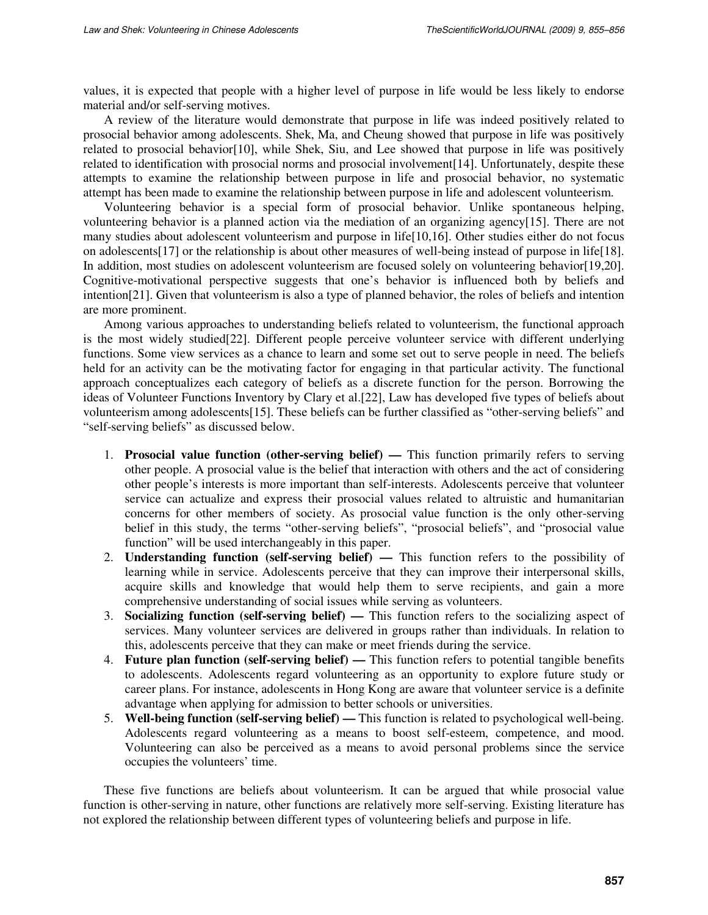values, it is expected that people with a higher level of purpose in life would be less likely to endorse material and/or self-serving motives.

A review of the literature would demonstrate that purpose in life was indeed positively related to prosocial behavior among adolescents. Shek, Ma, and Cheung showed that purpose in life was positively related to prosocial behavior[10], while Shek, Siu, and Lee showed that purpose in life was positively related to identification with prosocial norms and prosocial involvement[14]. Unfortunately, despite these attempts to examine the relationship between purpose in life and prosocial behavior, no systematic attempt has been made to examine the relationship between purpose in life and adolescent volunteerism.

Volunteering behavior is a special form of prosocial behavior. Unlike spontaneous helping, volunteering behavior is a planned action via the mediation of an organizing agency[15]. There are not many studies about adolescent volunteerism and purpose in life[10,16]. Other studies either do not focus on adolescents[17] or the relationship is about other measures of well-being instead of purpose in life[18]. In addition, most studies on adolescent volunteerism are focused solely on volunteering behavior[19,20]. Cognitive-motivational perspective suggests that one's behavior is influenced both by beliefs and intention[21]. Given that volunteerism is also a type of planned behavior, the roles of beliefs and intention are more prominent.

Among various approaches to understanding beliefs related to volunteerism, the functional approach is the most widely studied[22]. Different people perceive volunteer service with different underlying functions. Some view services as a chance to learn and some set out to serve people in need. The beliefs held for an activity can be the motivating factor for engaging in that particular activity. The functional approach conceptualizes each category of beliefs as a discrete function for the person. Borrowing the ideas of Volunteer Functions Inventory by Clary et al.[22], Law has developed five types of beliefs about volunteerism among adolescents[15]. These beliefs can be further classified as "other-serving beliefs" and "self-serving beliefs" as discussed below.

- 1. **Prosocial value function (other-serving belief) —** This function primarily refers to serving other people. A prosocial value is the belief that interaction with others and the act of considering other people's interests is more important than self-interests. Adolescents perceive that volunteer service can actualize and express their prosocial values related to altruistic and humanitarian concerns for other members of society. As prosocial value function is the only other-serving belief in this study, the terms "other-serving beliefs", "prosocial beliefs", and "prosocial value function" will be used interchangeably in this paper.
- 2. **Understanding function (self-serving belief) —** This function refers to the possibility of learning while in service. Adolescents perceive that they can improve their interpersonal skills, acquire skills and knowledge that would help them to serve recipients, and gain a more comprehensive understanding of social issues while serving as volunteers.
- 3. **Socializing function (self-serving belief) —** This function refers to the socializing aspect of services. Many volunteer services are delivered in groups rather than individuals. In relation to this, adolescents perceive that they can make or meet friends during the service.
- 4. **Future plan function (self-serving belief) —** This function refers to potential tangible benefits to adolescents. Adolescents regard volunteering as an opportunity to explore future study or career plans. For instance, adolescents in Hong Kong are aware that volunteer service is a definite advantage when applying for admission to better schools or universities.
- 5. **Well-being function (self-serving belief) —** This function is related to psychological well-being. Adolescents regard volunteering as a means to boost self-esteem, competence, and mood. Volunteering can also be perceived as a means to avoid personal problems since the service occupies the volunteers' time.

These five functions are beliefs about volunteerism. It can be argued that while prosocial value function is other-serving in nature, other functions are relatively more self-serving. Existing literature has not explored the relationship between different types of volunteering beliefs and purpose in life.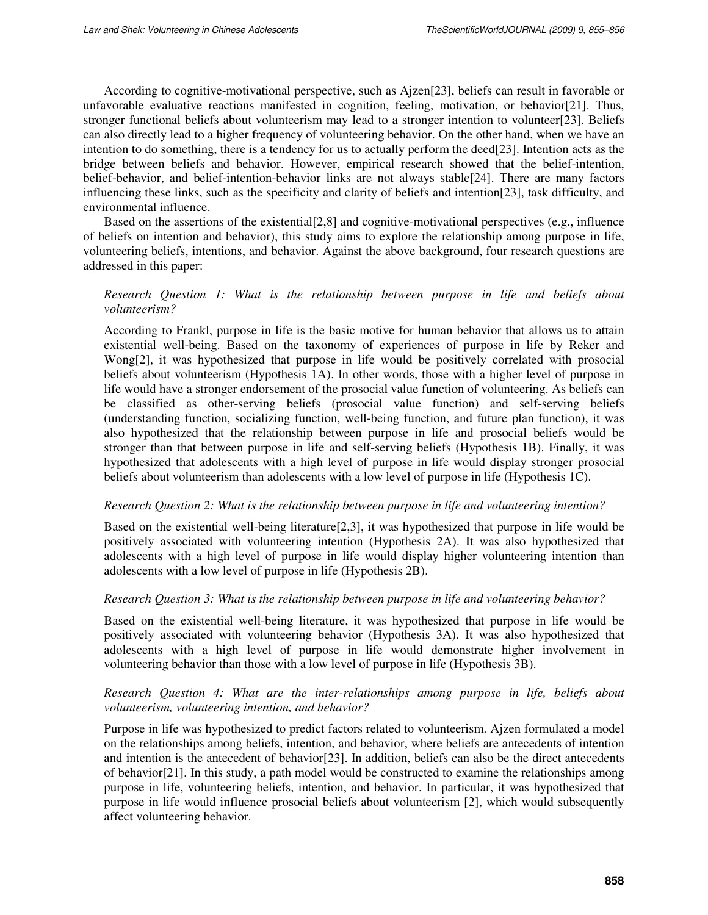According to cognitive-motivational perspective, such as Ajzen[23], beliefs can result in favorable or unfavorable evaluative reactions manifested in cognition, feeling, motivation, or behavior[21]. Thus, stronger functional beliefs about volunteerism may lead to a stronger intention to volunteer[23]. Beliefs can also directly lead to a higher frequency of volunteering behavior. On the other hand, when we have an intention to do something, there is a tendency for us to actually perform the deed[23]. Intention acts as the bridge between beliefs and behavior. However, empirical research showed that the belief-intention, belief-behavior, and belief-intention-behavior links are not always stable[24]. There are many factors influencing these links, such as the specificity and clarity of beliefs and intention[23], task difficulty, and environmental influence.

Based on the assertions of the existential[2,8] and cognitive-motivational perspectives (e.g., influence of beliefs on intention and behavior), this study aims to explore the relationship among purpose in life, volunteering beliefs, intentions, and behavior. Against the above background, four research questions are addressed in this paper:

#### *Research Question 1: What is the relationship between purpose in life and beliefs about volunteerism?*

According to Frankl, purpose in life is the basic motive for human behavior that allows us to attain existential well-being. Based on the taxonomy of experiences of purpose in life by Reker and Wong[2], it was hypothesized that purpose in life would be positively correlated with prosocial beliefs about volunteerism (Hypothesis 1A). In other words, those with a higher level of purpose in life would have a stronger endorsement of the prosocial value function of volunteering. As beliefs can be classified as other-serving beliefs (prosocial value function) and self-serving beliefs (understanding function, socializing function, well-being function, and future plan function), it was also hypothesized that the relationship between purpose in life and prosocial beliefs would be stronger than that between purpose in life and self-serving beliefs (Hypothesis 1B). Finally, it was hypothesized that adolescents with a high level of purpose in life would display stronger prosocial beliefs about volunteerism than adolescents with a low level of purpose in life (Hypothesis 1C).

#### *Research Question 2: What is the relationship between purpose in life and volunteering intention?*

Based on the existential well-being literature[2,3], it was hypothesized that purpose in life would be positively associated with volunteering intention (Hypothesis 2A). It was also hypothesized that adolescents with a high level of purpose in life would display higher volunteering intention than adolescents with a low level of purpose in life (Hypothesis 2B).

#### *Research Question 3: What is the relationship between purpose in life and volunteering behavior?*

Based on the existential well-being literature, it was hypothesized that purpose in life would be positively associated with volunteering behavior (Hypothesis 3A). It was also hypothesized that adolescents with a high level of purpose in life would demonstrate higher involvement in volunteering behavior than those with a low level of purpose in life (Hypothesis 3B).

#### *Research Question 4: What are the inter-relationships among purpose in life, beliefs about volunteerism, volunteering intention, and behavior?*

Purpose in life was hypothesized to predict factors related to volunteerism. Ajzen formulated a model on the relationships among beliefs, intention, and behavior, where beliefs are antecedents of intention and intention is the antecedent of behavior[23]. In addition, beliefs can also be the direct antecedents of behavior[21]. In this study, a path model would be constructed to examine the relationships among purpose in life, volunteering beliefs, intention, and behavior. In particular, it was hypothesized that purpose in life would influence prosocial beliefs about volunteerism [2], which would subsequently affect volunteering behavior.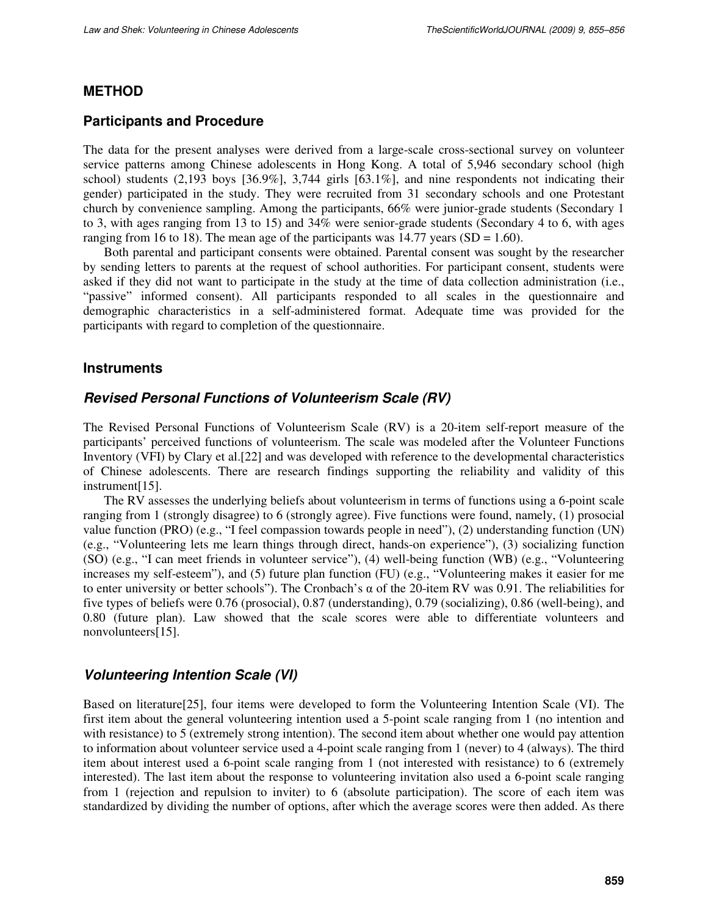## **METHOD**

#### **Participants and Procedure**

The data for the present analyses were derived from a large-scale cross-sectional survey on volunteer service patterns among Chinese adolescents in Hong Kong. A total of 5,946 secondary school (high school) students  $(2,193 \text{ boys} [36.9\%], 3,744 \text{ girls} [63.1\%],$  and nine respondents not indicating their gender) participated in the study. They were recruited from 31 secondary schools and one Protestant church by convenience sampling. Among the participants, 66% were junior-grade students (Secondary 1 to 3, with ages ranging from 13 to 15) and 34% were senior-grade students (Secondary 4 to 6, with ages ranging from 16 to 18). The mean age of the participants was  $14.77$  years (SD = 1.60).

Both parental and participant consents were obtained. Parental consent was sought by the researcher by sending letters to parents at the request of school authorities. For participant consent, students were asked if they did not want to participate in the study at the time of data collection administration (i.e., "passive" informed consent). All participants responded to all scales in the questionnaire and demographic characteristics in a self-administered format. Adequate time was provided for the participants with regard to completion of the questionnaire.

#### **Instruments**

#### **Revised Personal Functions of Volunteerism Scale (RV)**

The Revised Personal Functions of Volunteerism Scale (RV) is a 20-item self-report measure of the participants' perceived functions of volunteerism. The scale was modeled after the Volunteer Functions Inventory (VFI) by Clary et al.[22] and was developed with reference to the developmental characteristics of Chinese adolescents. There are research findings supporting the reliability and validity of this instrument[15].

The RV assesses the underlying beliefs about volunteerism in terms of functions using a 6-point scale ranging from 1 (strongly disagree) to 6 (strongly agree). Five functions were found, namely, (1) prosocial value function (PRO) (e.g., "I feel compassion towards people in need"), (2) understanding function (UN) (e.g., "Volunteering lets me learn things through direct, hands-on experience"), (3) socializing function (SO) (e.g., "I can meet friends in volunteer service"), (4) well-being function (WB) (e.g., "Volunteering increases my self-esteem"), and (5) future plan function (FU) (e.g., "Volunteering makes it easier for me to enter university or better schools"). The Cronbach's α of the 20-item RV was 0.91. The reliabilities for five types of beliefs were 0.76 (prosocial), 0.87 (understanding), 0.79 (socializing), 0.86 (well-being), and 0.80 (future plan). Law showed that the scale scores were able to differentiate volunteers and nonvolunteers[15].

#### **Volunteering Intention Scale (VI)**

Based on literature[25], four items were developed to form the Volunteering Intention Scale (VI). The first item about the general volunteering intention used a 5-point scale ranging from 1 (no intention and with resistance) to 5 (extremely strong intention). The second item about whether one would pay attention to information about volunteer service used a 4-point scale ranging from 1 (never) to 4 (always). The third item about interest used a 6-point scale ranging from 1 (not interested with resistance) to 6 (extremely interested). The last item about the response to volunteering invitation also used a 6-point scale ranging from 1 (rejection and repulsion to inviter) to 6 (absolute participation). The score of each item was standardized by dividing the number of options, after which the average scores were then added. As there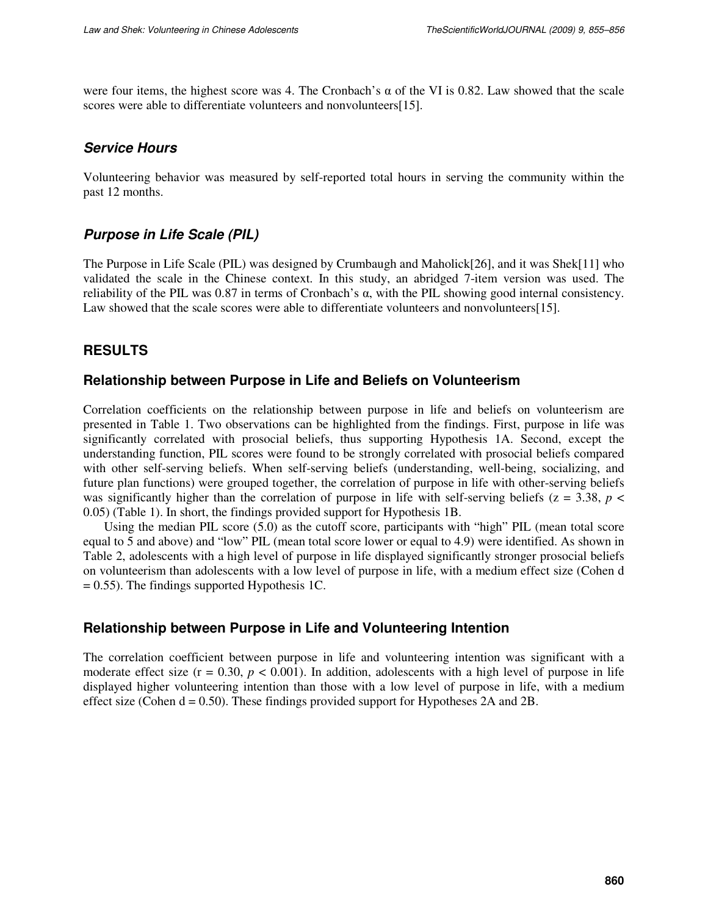were four items, the highest score was 4. The Cronbach's  $\alpha$  of the VI is 0.82. Law showed that the scale scores were able to differentiate volunteers and nonvolunteers[15].

## **Service Hours**

Volunteering behavior was measured by self-reported total hours in serving the community within the past 12 months.

## **Purpose in Life Scale (PIL)**

The Purpose in Life Scale (PIL) was designed by Crumbaugh and Maholick[26], and it was Shek[11] who validated the scale in the Chinese context. In this study, an abridged 7-item version was used. The reliability of the PIL was 0.87 in terms of Cronbach's α, with the PIL showing good internal consistency. Law showed that the scale scores were able to differentiate volunteers and nonvolunteers [15].

## **RESULTS**

#### **Relationship between Purpose in Life and Beliefs on Volunteerism**

Correlation coefficients on the relationship between purpose in life and beliefs on volunteerism are presented in Table 1. Two observations can be highlighted from the findings. First, purpose in life was significantly correlated with prosocial beliefs, thus supporting Hypothesis 1A. Second, except the understanding function, PIL scores were found to be strongly correlated with prosocial beliefs compared with other self-serving beliefs. When self-serving beliefs (understanding, well-being, socializing, and future plan functions) were grouped together, the correlation of purpose in life with other-serving beliefs was significantly higher than the correlation of purpose in life with self-serving beliefs  $(z = 3.38, p <$ 0.05) (Table 1). In short, the findings provided support for Hypothesis 1B.

Using the median PIL score (5.0) as the cutoff score, participants with "high" PIL (mean total score equal to 5 and above) and "low" PIL (mean total score lower or equal to 4.9) were identified. As shown in Table 2, adolescents with a high level of purpose in life displayed significantly stronger prosocial beliefs on volunteerism than adolescents with a low level of purpose in life, with a medium effect size (Cohen d = 0.55). The findings supported Hypothesis 1C.

## **Relationship between Purpose in Life and Volunteering Intention**

The correlation coefficient between purpose in life and volunteering intention was significant with a moderate effect size  $(r = 0.30, p < 0.001)$ . In addition, adolescents with a high level of purpose in life displayed higher volunteering intention than those with a low level of purpose in life, with a medium effect size (Cohen  $d = 0.50$ ). These findings provided support for Hypotheses 2A and 2B.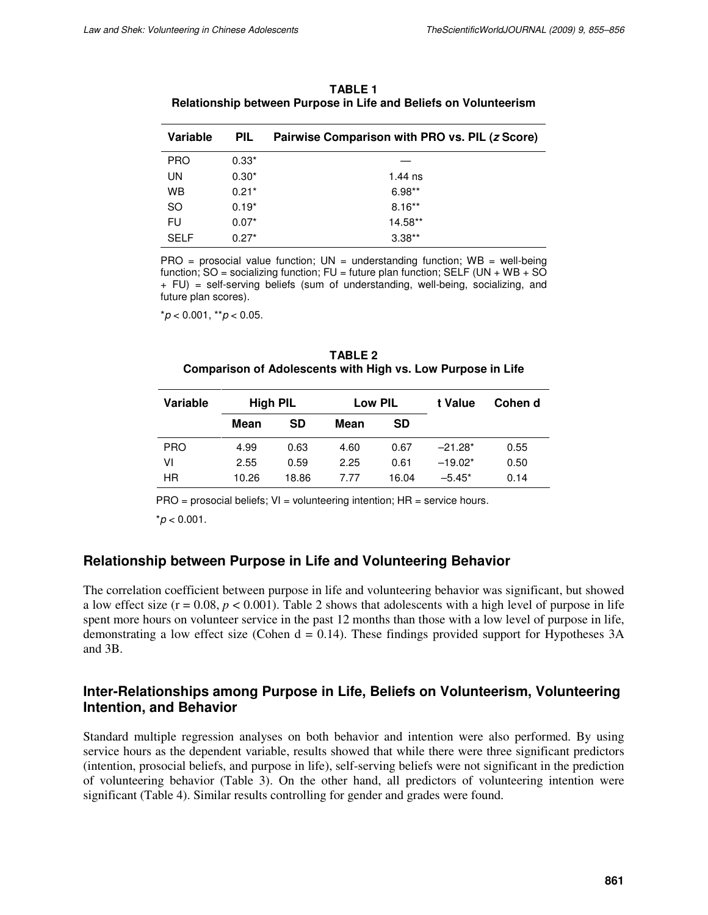| <b>TABLE 1</b>                                                   |
|------------------------------------------------------------------|
| Relationship between Purpose in Life and Beliefs on Volunteerism |

| Variable    | PIL.    | Pairwise Comparison with PRO vs. PIL (z Score) |  |  |  |
|-------------|---------|------------------------------------------------|--|--|--|
| <b>PRO</b>  | $0.33*$ |                                                |  |  |  |
| UN          | $0.30*$ | $1.44$ ns                                      |  |  |  |
| <b>WB</b>   | $0.21*$ | $6.98**$                                       |  |  |  |
| <b>SO</b>   | $0.19*$ | $8.16***$                                      |  |  |  |
| FU          | $0.07*$ | 14.58**                                        |  |  |  |
| <b>SELF</b> | $0.27*$ | $3.38**$                                       |  |  |  |

PRO = prosocial value function;  $UN =$  understanding function;  $WB =$  well-being function;  $SO =$  socializing function;  $FU =$  future plan function;  $SELF$  (UN  $+ WB + SO$ + FU) = self-serving beliefs (sum of understanding, well-being, socializing, and future plan scores).

 $**p* < 0.001$ ,  $**p* < 0.05$ .

| TABLE 2                                                     |
|-------------------------------------------------------------|
| Comparison of Adolescents with High vs. Low Purpose in Life |

| Variable   | <b>High PIL</b> |       | Low PIL |       | t Value   | Cohen d |
|------------|-----------------|-------|---------|-------|-----------|---------|
|            | Mean            | SD    | Mean    | SD    |           |         |
| <b>PRO</b> | 4.99            | 0.63  | 4.60    | 0.67  | $-21.28*$ | 0.55    |
| VI         | 2.55            | 0.59  | 2.25    | 0.61  | $-19.02*$ | 0.50    |
| HR         | 10.26           | 18.86 | 7.77    | 16.04 | $-5.45*$  | 0.14    |

 $PRO$  = prosocial beliefs;  $VI$  = volunteering intention;  $HR$  = service hours.

 $*p < 0.001$ .

## **Relationship between Purpose in Life and Volunteering Behavior**

The correlation coefficient between purpose in life and volunteering behavior was significant, but showed a low effect size  $(r = 0.08, p < 0.001)$ . Table 2 shows that adolescents with a high level of purpose in life spent more hours on volunteer service in the past 12 months than those with a low level of purpose in life, demonstrating a low effect size (Cohen  $d = 0.14$ ). These findings provided support for Hypotheses 3A and 3B.

## **Inter-Relationships among Purpose in Life, Beliefs on Volunteerism, Volunteering Intention, and Behavior**

Standard multiple regression analyses on both behavior and intention were also performed. By using service hours as the dependent variable, results showed that while there were three significant predictors (intention, prosocial beliefs, and purpose in life), self-serving beliefs were not significant in the prediction of volunteering behavior (Table 3). On the other hand, all predictors of volunteering intention were significant (Table 4). Similar results controlling for gender and grades were found.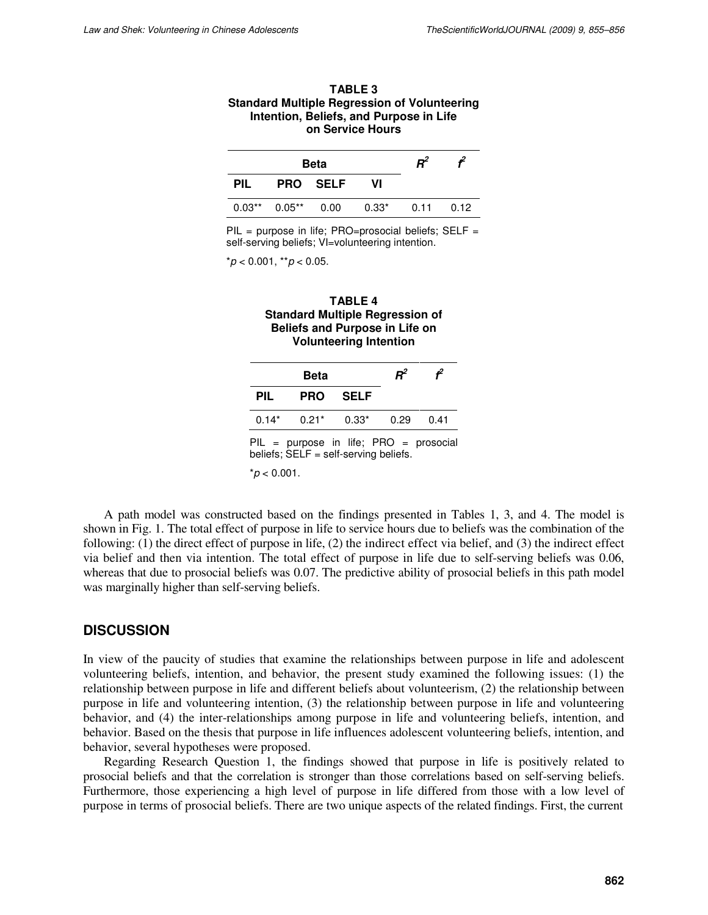| <b>TABLE 3</b>                                      |
|-----------------------------------------------------|
| <b>Standard Multiple Regression of Volunteering</b> |
| Intention, Beliefs, and Purpose in Life             |
| on Service Hours                                    |
|                                                     |

| <b>Beta</b> |                        |                 |           | $R^2$       | f |
|-------------|------------------------|-----------------|-----------|-------------|---|
| <b>PIL</b>  |                        | <b>PRO SELF</b> | <b>VI</b> |             |   |
|             | $0.03**$ $0.05**$ 0.00 |                 | $0.33*$   | $0.11$ 0.12 |   |

 $PIL$  = purpose in life; PRO=prosocial beliefs; SELF = self-serving beliefs; VI=volunteering intention.

 $**p* < 0.001$ ,  $**p* < 0.05$ .

| <b>TABLE 4</b><br><b>Standard Multiple Regression of</b><br>Beliefs and Purpose in Life on<br><b>Volunteering Intention</b> |            |             |      |      |  |  |
|-----------------------------------------------------------------------------------------------------------------------------|------------|-------------|------|------|--|--|
|                                                                                                                             | Beta       |             |      | f    |  |  |
| PIL                                                                                                                         | <b>PRO</b> | <b>SELF</b> |      |      |  |  |
| $0.14*$                                                                                                                     | $0.21*$    | $0.33*$     | 0.29 | 0.41 |  |  |
| $PIL = purpose in life; PRO = prosocial$<br>beliefs; SELF = self-serving beliefs.                                           |            |             |      |      |  |  |

 $*$ *p* < 0.001.

A path model was constructed based on the findings presented in Tables 1, 3, and 4. The model is shown in Fig. 1. The total effect of purpose in life to service hours due to beliefs was the combination of the following: (1) the direct effect of purpose in life, (2) the indirect effect via belief, and (3) the indirect effect via belief and then via intention. The total effect of purpose in life due to self-serving beliefs was 0.06, whereas that due to prosocial beliefs was 0.07. The predictive ability of prosocial beliefs in this path model was marginally higher than self-serving beliefs.

#### **DISCUSSION**

In view of the paucity of studies that examine the relationships between purpose in life and adolescent volunteering beliefs, intention, and behavior, the present study examined the following issues: (1) the relationship between purpose in life and different beliefs about volunteerism, (2) the relationship between purpose in life and volunteering intention, (3) the relationship between purpose in life and volunteering behavior, and (4) the inter-relationships among purpose in life and volunteering beliefs, intention, and behavior. Based on the thesis that purpose in life influences adolescent volunteering beliefs, intention, and behavior, several hypotheses were proposed.

Regarding Research Question 1, the findings showed that purpose in life is positively related to prosocial beliefs and that the correlation is stronger than those correlations based on self-serving beliefs. Furthermore, those experiencing a high level of purpose in life differed from those with a low level of purpose in terms of prosocial beliefs. There are two unique aspects of the related findings. First, the current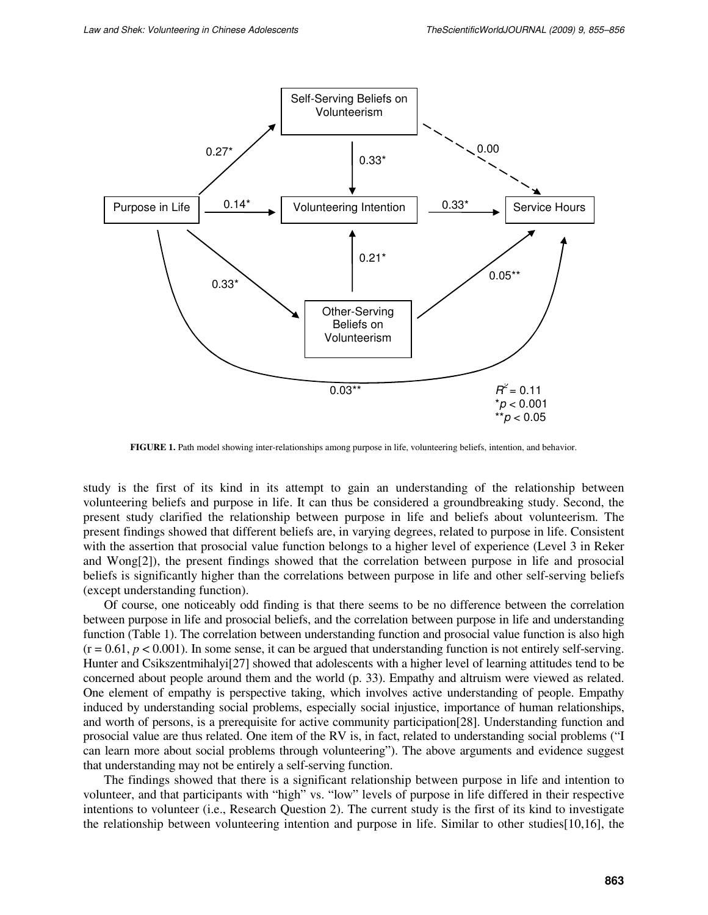

**FIGURE 1.** Path model showing inter-relationships among purpose in life, volunteering beliefs, intention, and behavior.

study is the first of its kind in its attempt to gain an understanding of the relationship between volunteering beliefs and purpose in life. It can thus be considered a groundbreaking study. Second, the present study clarified the relationship between purpose in life and beliefs about volunteerism. The present findings showed that different beliefs are, in varying degrees, related to purpose in life. Consistent with the assertion that prosocial value function belongs to a higher level of experience (Level 3 in Reker and Wong[2]), the present findings showed that the correlation between purpose in life and prosocial beliefs is significantly higher than the correlations between purpose in life and other self-serving beliefs (except understanding function).

Of course, one noticeably odd finding is that there seems to be no difference between the correlation between purpose in life and prosocial beliefs, and the correlation between purpose in life and understanding function (Table 1). The correlation between understanding function and prosocial value function is also high  $(r = 0.61, p < 0.001)$ . In some sense, it can be argued that understanding function is not entirely self-serving. Hunter and Csikszentmihalyi[27] showed that adolescents with a higher level of learning attitudes tend to be concerned about people around them and the world (p. 33). Empathy and altruism were viewed as related. One element of empathy is perspective taking, which involves active understanding of people. Empathy induced by understanding social problems, especially social injustice, importance of human relationships, and worth of persons, is a prerequisite for active community participation[28]. Understanding function and prosocial value are thus related. One item of the RV is, in fact, related to understanding social problems ("I can learn more about social problems through volunteering"). The above arguments and evidence suggest that understanding may not be entirely a self-serving function.

The findings showed that there is a significant relationship between purpose in life and intention to volunteer, and that participants with "high" vs. "low" levels of purpose in life differed in their respective intentions to volunteer (i.e., Research Question 2). The current study is the first of its kind to investigate the relationship between volunteering intention and purpose in life. Similar to other studies[10,16], the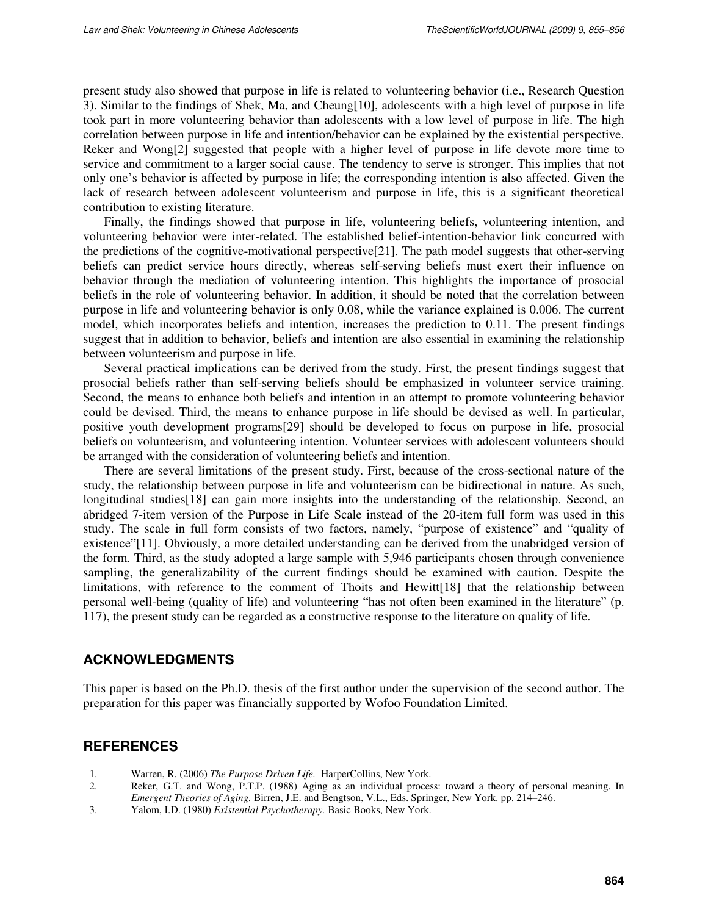present study also showed that purpose in life is related to volunteering behavior (i.e., Research Question 3). Similar to the findings of Shek, Ma, and Cheung[10], adolescents with a high level of purpose in life took part in more volunteering behavior than adolescents with a low level of purpose in life. The high correlation between purpose in life and intention/behavior can be explained by the existential perspective. Reker and Wong[2] suggested that people with a higher level of purpose in life devote more time to service and commitment to a larger social cause. The tendency to serve is stronger. This implies that not only one's behavior is affected by purpose in life; the corresponding intention is also affected. Given the lack of research between adolescent volunteerism and purpose in life, this is a significant theoretical contribution to existing literature.

Finally, the findings showed that purpose in life, volunteering beliefs, volunteering intention, and volunteering behavior were inter-related. The established belief-intention-behavior link concurred with the predictions of the cognitive-motivational perspective[21]. The path model suggests that other-serving beliefs can predict service hours directly, whereas self-serving beliefs must exert their influence on behavior through the mediation of volunteering intention. This highlights the importance of prosocial beliefs in the role of volunteering behavior. In addition, it should be noted that the correlation between purpose in life and volunteering behavior is only 0.08, while the variance explained is 0.006. The current model, which incorporates beliefs and intention, increases the prediction to 0.11. The present findings suggest that in addition to behavior, beliefs and intention are also essential in examining the relationship between volunteerism and purpose in life.

Several practical implications can be derived from the study. First, the present findings suggest that prosocial beliefs rather than self-serving beliefs should be emphasized in volunteer service training. Second, the means to enhance both beliefs and intention in an attempt to promote volunteering behavior could be devised. Third, the means to enhance purpose in life should be devised as well. In particular, positive youth development programs[29] should be developed to focus on purpose in life, prosocial beliefs on volunteerism, and volunteering intention. Volunteer services with adolescent volunteers should be arranged with the consideration of volunteering beliefs and intention.

There are several limitations of the present study. First, because of the cross-sectional nature of the study, the relationship between purpose in life and volunteerism can be bidirectional in nature. As such, longitudinal studies[18] can gain more insights into the understanding of the relationship. Second, an abridged 7-item version of the Purpose in Life Scale instead of the 20-item full form was used in this study. The scale in full form consists of two factors, namely, "purpose of existence" and "quality of existence"[11]. Obviously, a more detailed understanding can be derived from the unabridged version of the form. Third, as the study adopted a large sample with 5,946 participants chosen through convenience sampling, the generalizability of the current findings should be examined with caution. Despite the limitations, with reference to the comment of Thoits and Hewitt[18] that the relationship between personal well-being (quality of life) and volunteering "has not often been examined in the literature" (p. 117), the present study can be regarded as a constructive response to the literature on quality of life.

## **ACKNOWLEDGMENTS**

This paper is based on the Ph.D. thesis of the first author under the supervision of the second author. The preparation for this paper was financially supported by Wofoo Foundation Limited.

## **REFERENCES**

- 1. Warren, R. (2006) *The Purpose Driven Life.* HarperCollins, New York.
- 2. Reker, G.T. and Wong, P.T.P. (1988) Aging as an individual process: toward a theory of personal meaning. In *Emergent Theories of Aging.* Birren, J.E. and Bengtson, V.L., Eds. Springer, New York. pp. 214–246.
- 3. Yalom, I.D. (1980) *Existential Psychotherapy.* Basic Books, New York.